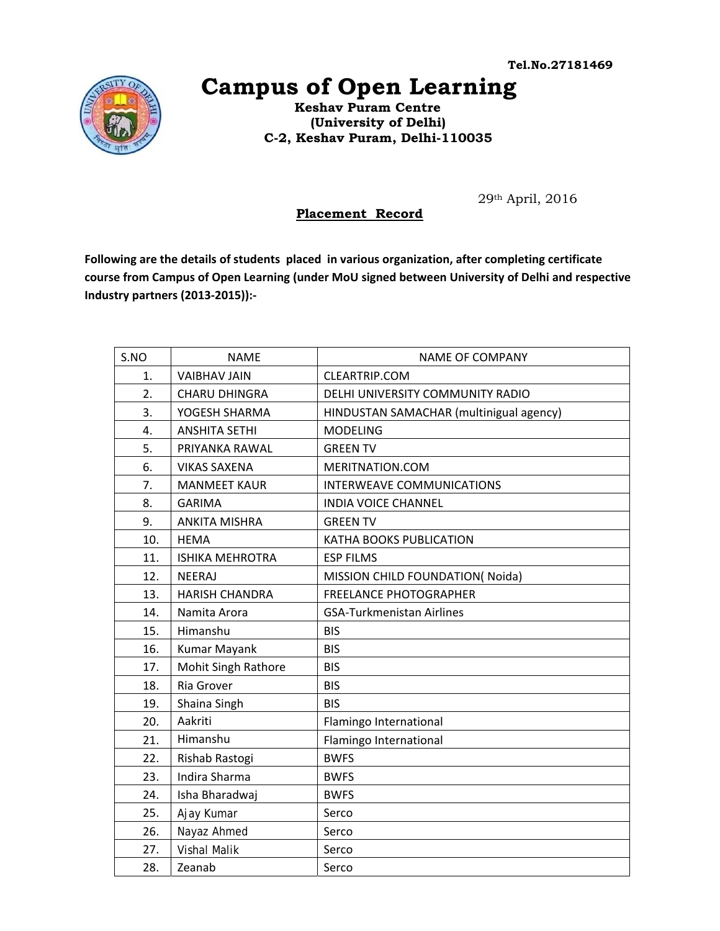

## **Campus of Open Learning**

 **Keshav Puram Centre (University of Delhi) C-2, Keshav Puram, Delhi-110035** 

29th April, 2016

## **Placement Record**

**Following are the details of students placed in various organization, after completing certificate course from Campus of Open Learning (under MoU signed between University of Delhi and respective Industry partners (2013‐2015)):‐** 

| S.NO | <b>NAME</b>            | <b>NAME OF COMPANY</b>                  |
|------|------------------------|-----------------------------------------|
| 1.   | <b>VAIBHAV JAIN</b>    | <b>CLEARTRIP.COM</b>                    |
| 2.   | <b>CHARU DHINGRA</b>   | DELHI UNIVERSITY COMMUNITY RADIO        |
| 3.   | YOGESH SHARMA          | HINDUSTAN SAMACHAR (multinigual agency) |
| 4.   | <b>ANSHITA SETHI</b>   | <b>MODELING</b>                         |
| 5.   | PRIYANKA RAWAL         | <b>GREEN TV</b>                         |
| 6.   | <b>VIKAS SAXENA</b>    | MERITNATION.COM                         |
| 7.   | <b>MANMEET KAUR</b>    | INTERWEAVE COMMUNICATIONS               |
| 8.   | <b>GARIMA</b>          | <b>INDIA VOICE CHANNEL</b>              |
| 9.   | <b>ANKITA MISHRA</b>   | <b>GREEN TV</b>                         |
| 10.  | <b>HEMA</b>            | KATHA BOOKS PUBLICATION                 |
| 11.  | <b>ISHIKA MEHROTRA</b> | <b>ESP FILMS</b>                        |
| 12.  | <b>NEERAJ</b>          | MISSION CHILD FOUNDATION(Noida)         |
| 13.  | <b>HARISH CHANDRA</b>  | <b>FREELANCE PHOTOGRAPHER</b>           |
| 14.  | Namita Arora           | <b>GSA-Turkmenistan Airlines</b>        |
| 15.  | Himanshu               | <b>BIS</b>                              |
| 16.  | Kumar Mayank           | <b>BIS</b>                              |
| 17.  | Mohit Singh Rathore    | <b>BIS</b>                              |
| 18.  | Ria Grover             | <b>BIS</b>                              |
| 19.  | Shaina Singh           | <b>BIS</b>                              |
| 20.  | Aakriti                | Flamingo International                  |
| 21.  | Himanshu               | Flamingo International                  |
| 22.  | Rishab Rastogi         | <b>BWFS</b>                             |
| 23.  | <b>Indira Sharma</b>   | <b>BWFS</b>                             |
| 24.  | Isha Bharadwaj         | <b>BWFS</b>                             |
| 25.  | Ajay Kumar             | Serco                                   |
| 26.  | Nayaz Ahmed            | Serco                                   |
| 27.  | <b>Vishal Malik</b>    | Serco                                   |
| 28.  | Zeanab                 | Serco                                   |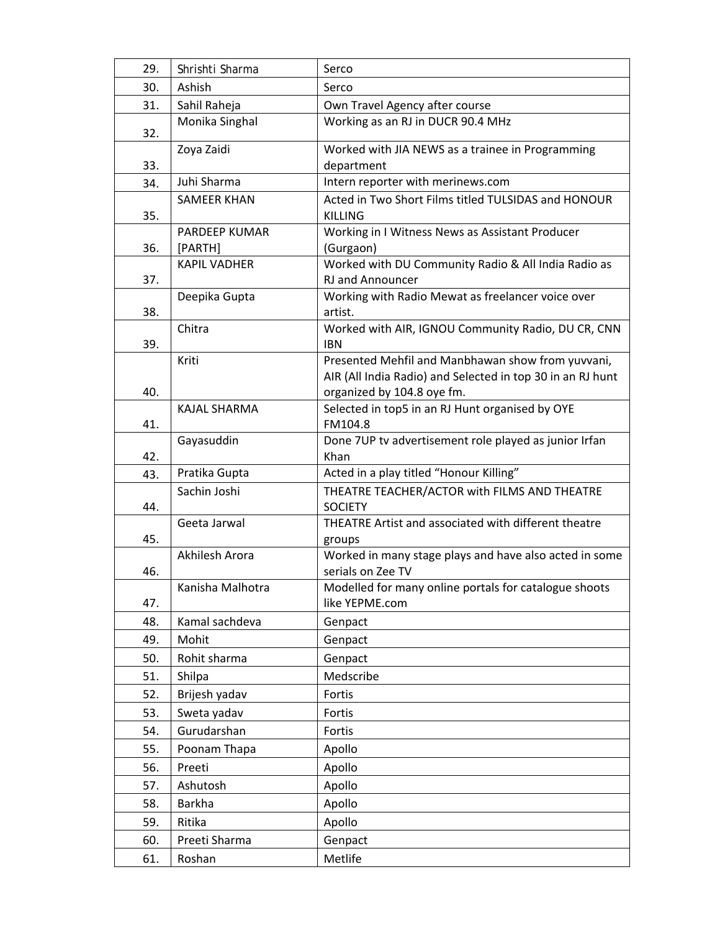| 29. | Shrishti Sharma     | Serco                                                                 |
|-----|---------------------|-----------------------------------------------------------------------|
| 30. | Ashish              | Serco                                                                 |
| 31. | Sahil Raheja        | Own Travel Agency after course                                        |
| 32. | Monika Singhal      | Working as an RJ in DUCR 90.4 MHz                                     |
|     | Zoya Zaidi          | Worked with JIA NEWS as a trainee in Programming                      |
| 33. |                     | department                                                            |
| 34. | Juhi Sharma         | Intern reporter with merinews.com                                     |
| 35. | <b>SAMEER KHAN</b>  | Acted in Two Short Films titled TULSIDAS and HONOUR<br><b>KILLING</b> |
|     | PARDEEP KUMAR       | Working in I Witness News as Assistant Producer                       |
| 36. | [PARTH]             | (Gurgaon)                                                             |
|     | <b>KAPIL VADHER</b> | Worked with DU Community Radio & All India Radio as                   |
| 37. |                     | RJ and Announcer                                                      |
| 38. | Deepika Gupta       | Working with Radio Mewat as freelancer voice over<br>artist.          |
|     | Chitra              | Worked with AIR, IGNOU Community Radio, DU CR, CNN                    |
| 39. |                     | <b>IBN</b>                                                            |
|     | Kriti               | Presented Mehfil and Manbhawan show from yuvvani,                     |
|     |                     | AIR (All India Radio) and Selected in top 30 in an RJ hunt            |
| 40. |                     | organized by 104.8 oye fm.                                            |
|     | KAJAL SHARMA        | Selected in top5 in an RJ Hunt organised by OYE                       |
| 41. |                     | FM104.8                                                               |
|     | Gayasuddin          | Done 7UP tv advertisement role played as junior Irfan                 |
| 42. |                     | Khan                                                                  |
| 43. | Pratika Gupta       | Acted in a play titled "Honour Killing"                               |
| 44. | Sachin Joshi        | THEATRE TEACHER/ACTOR with FILMS AND THEATRE<br><b>SOCIETY</b>        |
|     | Geeta Jarwal        | THEATRE Artist and associated with different theatre                  |
| 45. |                     | groups                                                                |
|     | Akhilesh Arora      | Worked in many stage plays and have also acted in some                |
| 46. |                     | serials on Zee TV                                                     |
|     | Kanisha Malhotra    | Modelled for many online portals for catalogue shoots                 |
| 47. |                     | like YEPME.com                                                        |
| 48. | Kamal sachdeva      | Genpact                                                               |
| 49. | Mohit               | Genpact                                                               |
| 50. | Rohit sharma        | Genpact                                                               |
| 51. | Shilpa              | Medscribe                                                             |
| 52. | Brijesh yadav       | Fortis                                                                |
| 53. | Sweta yadav         | Fortis                                                                |
| 54. | Gurudarshan         | Fortis                                                                |
| 55. | Poonam Thapa        | Apollo                                                                |
| 56. | Preeti              | Apollo                                                                |
| 57. | Ashutosh            | Apollo                                                                |
| 58. | Barkha              | Apollo                                                                |
| 59. | Ritika              | Apollo                                                                |
| 60. | Preeti Sharma       | Genpact                                                               |
| 61. | Roshan              | Metlife                                                               |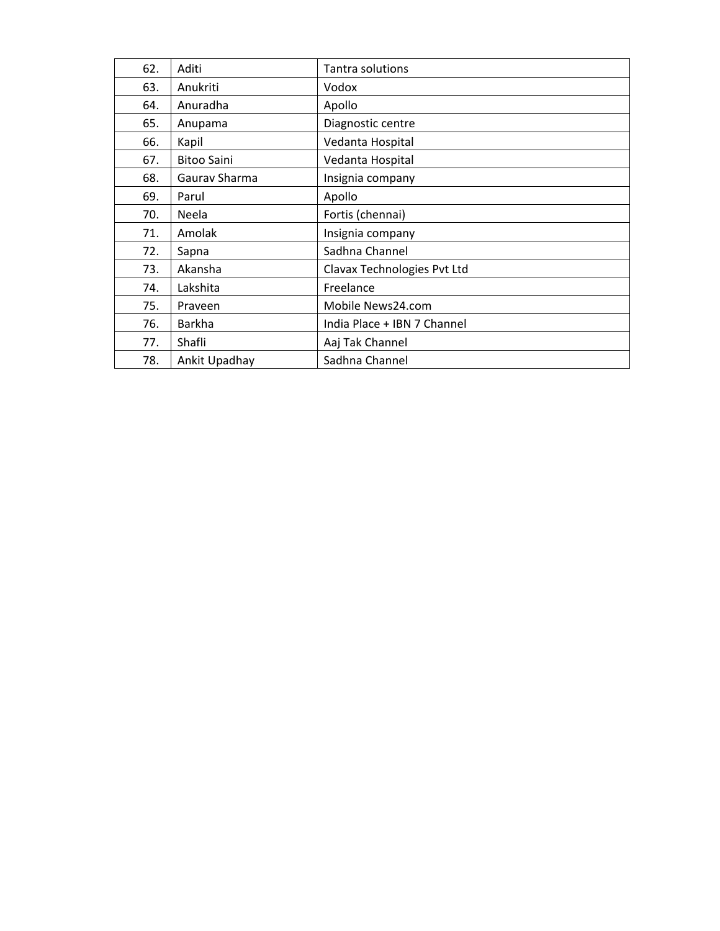| 62. | Aditi              | Tantra solutions            |
|-----|--------------------|-----------------------------|
| 63. | Anukriti           | Vodox                       |
| 64. | Anuradha           | Apollo                      |
| 65. | Anupama            | Diagnostic centre           |
| 66. | Kapil              | Vedanta Hospital            |
| 67. | <b>Bitoo Saini</b> | Vedanta Hospital            |
| 68. | Gaurav Sharma      | Insignia company            |
| 69. | Parul              | Apollo                      |
| 70. | Neela              | Fortis (chennai)            |
| 71. | Amolak             | Insignia company            |
| 72. | Sapna              | Sadhna Channel              |
| 73. | Akansha            | Clavax Technologies Pvt Ltd |
| 74. | Lakshita           | Freelance                   |
| 75. | Praveen            | Mobile News24.com           |
| 76. | Barkha             | India Place + IBN 7 Channel |
| 77. | Shafli             | Aaj Tak Channel             |
| 78. | Ankit Upadhay      | Sadhna Channel              |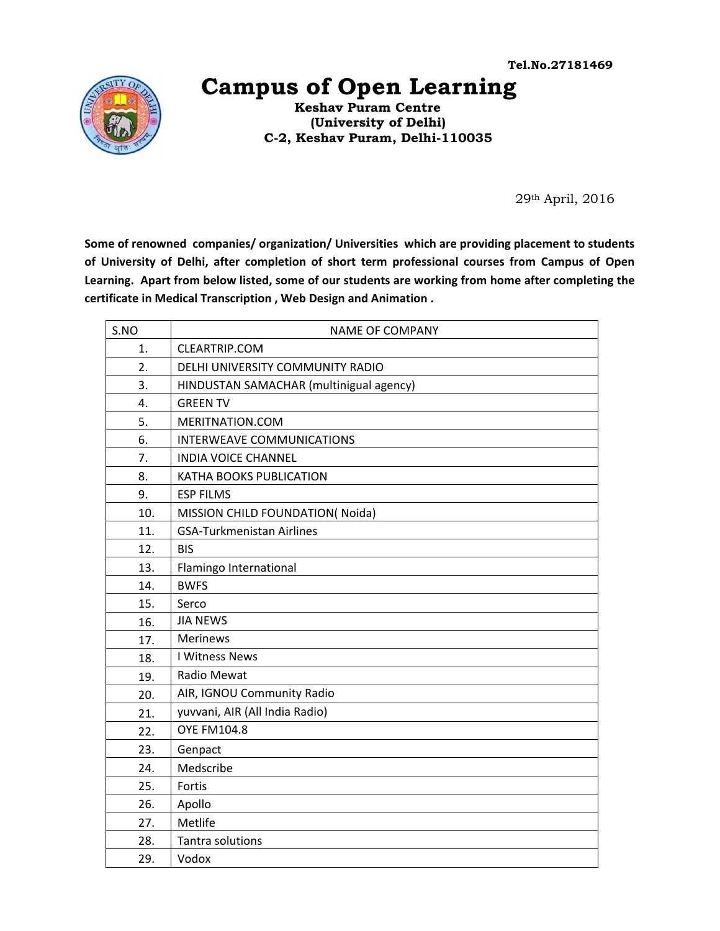

## **Campus of Open Learning**

 **Keshav Puram Centre (University of Delhi) C-2, Keshav Puram, Delhi-110035** 

29th April, 2016

**Some of renowned companies/ organization/ Universities which are providing placement to students of University of Delhi, after completion of short term professional courses from Campus of Open Learning. Apart from below listed, some of our students are working from home after completing the certificate in Medical Transcription , Web Design and Animation .** 

| S.NO | <b>NAME OF COMPANY</b>                  |
|------|-----------------------------------------|
| 1.   | <b>CLEARTRIP.COM</b>                    |
| 2.   | DELHI UNIVERSITY COMMUNITY RADIO        |
| 3.   | HINDUSTAN SAMACHAR (multinigual agency) |
| 4.   | <b>GREEN TV</b>                         |
| 5.   | MERITNATION.COM                         |
| 6.   | <b>INTERWEAVE COMMUNICATIONS</b>        |
| 7.   | <b>INDIA VOICE CHANNEL</b>              |
| 8.   | <b>KATHA BOOKS PUBLICATION</b>          |
| 9.   | <b>ESP FILMS</b>                        |
| 10.  | MISSION CHILD FOUNDATION(Noida)         |
| 11.  | <b>GSA-Turkmenistan Airlines</b>        |
| 12.  | <b>BIS</b>                              |
| 13.  | Flamingo International                  |
| 14.  | <b>BWFS</b>                             |
| 15.  | Serco                                   |
| 16.  | <b>JIA NEWS</b>                         |
| 17.  | <b>Merinews</b>                         |
| 18.  | I Witness News                          |
| 19.  | Radio Mewat                             |
| 20.  | AIR, IGNOU Community Radio              |
| 21.  | yuvvani, AIR (All India Radio)          |
| 22.  | <b>OYE FM104.8</b>                      |
| 23.  | Genpact                                 |
| 24.  | Medscribe                               |
| 25.  | Fortis                                  |
| 26.  | Apollo                                  |
| 27.  | Metlife                                 |
| 28.  | Tantra solutions                        |
| 29.  | Vodox                                   |